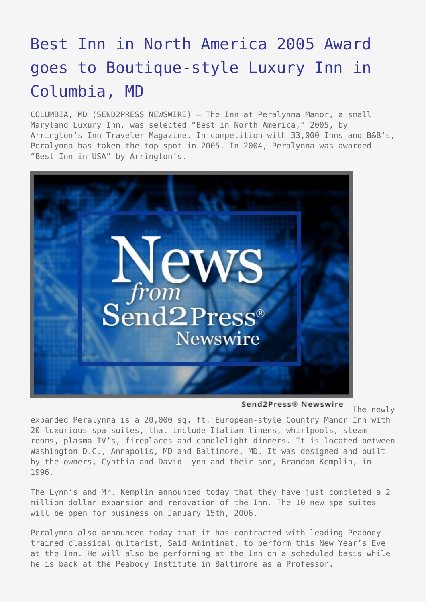## [Best Inn in North America 2005 Award](https://www.send2press.com/wire/2005-12-1221-002/) [goes to Boutique-style Luxury Inn in](https://www.send2press.com/wire/2005-12-1221-002/) [Columbia, MD](https://www.send2press.com/wire/2005-12-1221-002/)

COLUMBIA, MD (SEND2PRESS NEWSWIRE) — The Inn at Peralynna Manor, a small Maryland Luxury Inn, was selected "Best in North America," 2005, by Arrington's Inn Traveler Magazine. In competition with 33,000 Inns and B&B's, Peralynna has taken the top spot in 2005. In 2004, Peralynna was awarded "Best Inn in USA" by Arrington's.



Send2Press® Newswire

The newly

expanded Peralynna is a 20,000 sq. ft. European-style Country Manor Inn with 20 luxurious spa suites, that include Italian linens, whirlpools, steam rooms, plasma TV's, fireplaces and candlelight dinners. It is located between Washington D.C., Annapolis, MD and Baltimore, MD. It was designed and built by the owners, Cynthia and David Lynn and their son, Brandon Kemplin, in 1996.

The Lynn's and Mr. Kemplin announced today that they have just completed a 2 million dollar expansion and renovation of the Inn. The 10 new spa suites will be open for business on January 15th, 2006.

Peralynna also announced today that it has contracted with leading Peabody trained classical guitarist, Said Amintinat, to perform this New Year's Eve at the Inn. He will also be performing at the Inn on a scheduled basis while he is back at the Peabody Institute in Baltimore as a Professor.